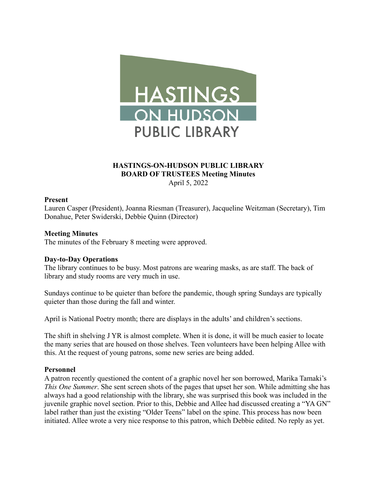

# **HASTINGS-ON-HUDSON PUBLIC LIBRARY BOARD OF TRUSTEES Meeting Minutes** April 5, 2022

## **Present**

Lauren Casper (President), Joanna Riesman (Treasurer), Jacqueline Weitzman (Secretary), Tim Donahue, Peter Swiderski, Debbie Quinn (Director)

### **Meeting Minutes**

The minutes of the February 8 meeting were approved.

#### **Day-to-Day Operations**

The library continues to be busy. Most patrons are wearing masks, as are staff. The back of library and study rooms are very much in use.

Sundays continue to be quieter than before the pandemic, though spring Sundays are typically quieter than those during the fall and winter.

April is National Poetry month; there are displays in the adults' and children's sections.

The shift in shelving J YR is almost complete. When it is done, it will be much easier to locate the many series that are housed on those shelves. Teen volunteers have been helping Allee with this. At the request of young patrons, some new series are being added.

### **Personnel**

A patron recently questioned the content of a graphic novel her son borrowed, Marika Tamaki's *This One Summer*. She sent screen shots of the pages that upset her son. While admitting she has always had a good relationship with the library, she was surprised this book was included in the juvenile graphic novel section. Prior to this, Debbie and Allee had discussed creating a "YA GN" label rather than just the existing "Older Teens" label on the spine. This process has now been initiated. Allee wrote a very nice response to this patron, which Debbie edited. No reply as yet.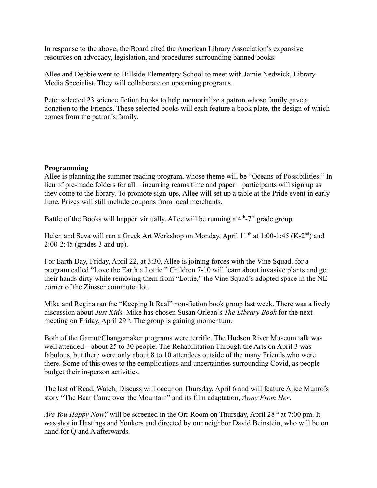In response to the above, the Board cited the American Library Association's expansive resources on advocacy, legislation, and procedures surrounding banned books.

Allee and Debbie went to Hillside Elementary School to meet with Jamie Nedwick, Library Media Specialist. They will collaborate on upcoming programs.

Peter selected 23 science fiction books to help memorialize a patron whose family gave a donation to the Friends. These selected books will each feature a book plate, the design of which comes from the patron's family.

# **Programming**

Allee is planning the summer reading program, whose theme will be "Oceans of Possibilities." In lieu of pre-made folders for all – incurring reams time and paper – participants will sign up as they come to the library. To promote sign-ups, Allee will set up a table at the Pride event in early June. Prizes will still include coupons from local merchants.

Battle of the Books will happen virtually. Allee will be running a  $4<sup>th</sup> - 7<sup>th</sup>$  grade group.

Helen and Seva will run a Greek Art Workshop on Monday, April 11<sup>th</sup> at 1:00-1:45 (K-2<sup>nd</sup>) and 2:00-2:45 (grades 3 and up).

For Earth Day, Friday, April 22, at 3:30, Allee is joining forces with the Vine Squad, for a program called "Love the Earth a Lottie." Children 7-10 will learn about invasive plants and get their hands dirty while removing them from "Lottie," the Vine Squad's adopted space in the NE corner of the Zinsser commuter lot.

Mike and Regina ran the "Keeping It Real" non-fiction book group last week. There was a lively discussion about *Just Kids.* Mike has chosen Susan Orlean's *The Library Book* for the next meeting on Friday, April 29<sup>th</sup>. The group is gaining momentum.

Both of the Gamut/Changemaker programs were terrific. The Hudson River Museum talk was well attended—about 25 to 30 people. The Rehabilitation Through the Arts on April 3 was fabulous, but there were only about 8 to 10 attendees outside of the many Friends who were there. Some of this owes to the complications and uncertainties surrounding Covid, as people budget their in-person activities.

The last of Read, Watch, Discuss will occur on Thursday, April 6 and will feature Alice Munro's story "The Bear Came over the Mountain" and its film adaptation, *Away From Her*.

*Are You Happy Now?* will be screened in the Orr Room on Thursday, April 28<sup>th</sup> at 7:00 pm. It was shot in Hastings and Yonkers and directed by our neighbor David Beinstein, who will be on hand for Q and A afterwards.